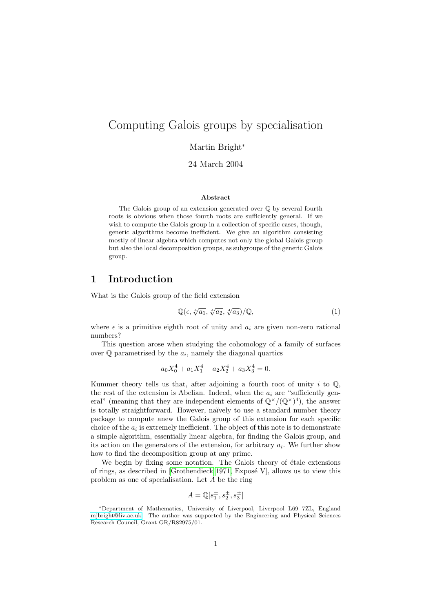# Computing Galois groups by specialisation

#### Martin Bright<sup>\*</sup>

24 March 2004

#### Abstract

The Galois group of an extension generated over Q by several fourth roots is obvious when those fourth roots are sufficiently general. If we wish to compute the Galois group in a collection of specific cases, though, generic algorithms become inefficient. We give an algorithm consisting mostly of linear algebra which computes not only the global Galois group but also the local decomposition groups, as subgroups of the generic Galois group.

## 1 Introduction

What is the Galois group of the field extension

<span id="page-0-0"></span>
$$
\mathbb{Q}(\epsilon, \sqrt[4]{a_1}, \sqrt[4]{a_2}, \sqrt[4]{a_3})/\mathbb{Q},\tag{1}
$$

where  $\epsilon$  is a primitive eighth root of unity and  $a_i$  are given non-zero rational numbers?

This question arose when studying the cohomology of a family of surfaces over  $\mathbb Q$  parametrised by the  $a_i$ , namely the diagonal quartics

$$
a_0 X_0^4 + a_1 X_1^4 + a_2 X_2^4 + a_3 X_3^4 = 0.
$$

Kummer theory tells us that, after adjoining a fourth root of unity  $i$  to  $\mathbb{Q}$ , the rest of the extension is Abelian. Indeed, when the  $a_i$  are "sufficiently general" (meaning that they are independent elements of  $\mathbb{Q}^{\times}/(\mathbb{Q}^{\times})^4$ ), the answer is totally straightforward. However, naïvely to use a standard number theory package to compute anew the Galois group of this extension for each specific choice of the  $a_i$  is extremely inefficient. The object of this note is to demonstrate a simple algorithm, essentially linear algebra, for finding the Galois group, and its action on the generators of the extension, for arbitrary  $a_i$ . We further show how to find the decomposition group at any prime.

We begin by fixing some notation. The Galois theory of étale extensions of rings, as described in [\[Grothendieck 1971,](#page-5-0) Exposé V], allows us to view this problem as one of specialisation. Let  ${\cal A}$  be the ring

$$
A = \mathbb{Q}[s_1^{\pm}, s_2^{\pm}, s_3^{\pm}]
$$

<sup>∗</sup>Department of Mathematics, University of Liverpool, Liverpool L69 7ZL, England [mjbright@liv.ac.uk.](mailto:mjbright@liv.ac.uk) The author was supported by the Engineering and Physical Sciences Research Council, Grant GR/R82975/01.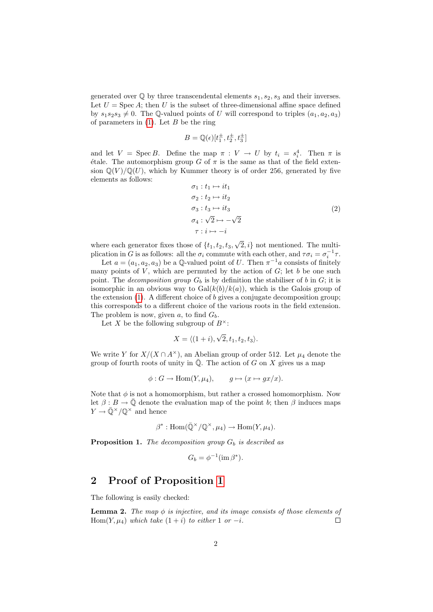generated over  $\mathbb Q$  by three transcendental elements  $s_1, s_2, s_3$  and their inverses. Let  $U = \text{Spec } A$ ; then U is the subset of three-dimensional affine space defined by  $s_1s_2s_3 \neq 0$ . The Q-valued points of U will correspond to triples  $(a_1, a_2, a_3)$ of parameters in  $(1)$ . Let B be the ring

$$
B = \mathbb{Q}(\epsilon)[t_1^{\pm}, t_2^{\pm}, t_3^{\pm}]
$$

and let  $V = \text{Spec } B$ . Define the map  $\pi : V \to U$  by  $t_i = s_i^4$ . Then  $\pi$  is étale. The automorphism group G of  $\pi$  is the same as that of the field extension  $\mathbb{Q}(V)/\mathbb{Q}(U)$ , which by Kummer theory is of order 256, generated by five elements as follows:

$$
\sigma_1: t_1 \mapsto it_1
$$
  
\n
$$
\sigma_2: t_2 \mapsto it_2
$$
  
\n
$$
\sigma_3: t_3 \mapsto it_3
$$
  
\n
$$
\sigma_4: \sqrt{2} \mapsto -\sqrt{2}
$$
  
\n
$$
\tau: i \mapsto -i
$$
\n(2)

where each generator fixes those of  $\{t_1, t_2, t_3,$ √  $\{2, i\}$  not mentioned. The multiplication in G is as follows: all the  $\sigma_i$  commute with each other, and  $\tau \sigma_i = \sigma_i^{-1} \tau$ .

Let  $a = (a_1, a_2, a_3)$  be a Q-valued point of U. Then  $\pi^{-1}a$  consists of finitely many points of  $V$ , which are permuted by the action of  $G$ ; let  $b$  be one such point. The *decomposition group*  $G_b$  is by definition the stabiliser of b in  $G$ ; it is isomorphic in an obvious way to  $Gal(k(b)/k(a))$ , which is the Galois group of the extension  $(1)$ . A different choice of b gives a conjugate decomposition group; this corresponds to a different choice of the various roots in the field extension. The problem is now, given a, to find  $G_b$ .

Let X be the following subgroup of  $B^{\times}$ :

$$
X = \langle (1+i), \sqrt{2}, t_1, t_2, t_3 \rangle.
$$

We write Y for  $X/(X \cap A^{\times})$ , an Abelian group of order 512. Let  $\mu_4$  denote the group of fourth roots of unity in  $\overline{Q}$ . The action of G on X gives us a map

$$
\phi: G \to \text{Hom}(Y, \mu_4), \qquad g \mapsto (x \mapsto gx/x).
$$

Note that  $\phi$  is not a homomorphism, but rather a crossed homomorphism. Now let  $\beta : B \to \overline{Q}$  denote the evaluation map of the point b; then  $\beta$  induces maps  $Y \to \bar{Q}^{\times}/\mathbb{Q}^{\times}$  and hence

$$
\beta^* : \mathrm{Hom}(\overline{\mathbb{Q}}^{\times}/\mathbb{Q}^{\times}, \mu_4) \to \mathrm{Hom}(Y, \mu_4).
$$

<span id="page-1-0"></span>**Proposition 1.** The decomposition group  $G_b$  is described as

$$
G_b = \phi^{-1}(\operatorname{im} \beta^*).
$$

## 2 Proof of Proposition [1](#page-1-0)

The following is easily checked:

<span id="page-1-1"></span>**Lemma 2.** The map  $\phi$  is injective, and its image consists of those elements of Hom(Y,  $\mu_4$ ) which take  $(1+i)$  to either 1 or  $-i$ .  $\Box$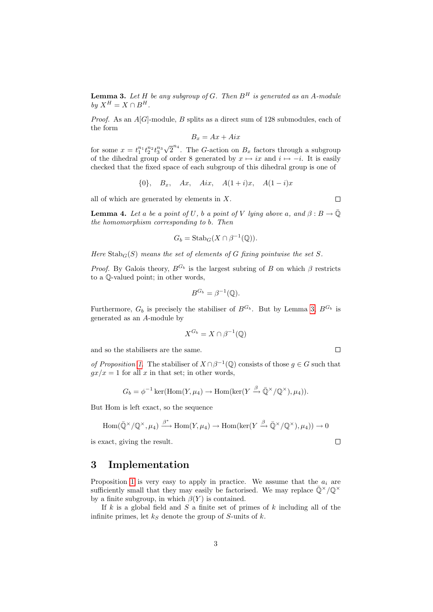**Lemma 3.** Let H be any subgroup of G. Then  $B<sup>H</sup>$  is generated as an A-module  $b\psi X^H = X \cap B^H$ .

*Proof.* As an  $A[G]$ -module, B splits as a direct sum of 128 submodules, each of the form

$$
B_x = Ax + Aix
$$

for some  $x = t_1^{n_1} t_2^{n_2} t_3^{n_3}$ √  $\overline{2}^{n_4}$ . The *G*-action on  $B_x$  factors through a subgroup of the dihedral group of order 8 generated by  $x \mapsto ix$  and  $i \mapsto -i$ . It is easily checked that the fixed space of each subgroup of this dihedral group is one of

$$
\{0\}, \quad B_x, \quad Ax, \quad Aix, \quad A(1+i)x, \quad A(1-i)x
$$

all of which are generated by elements in  $X$ .

**Lemma 4.** Let a be a point of U, b a point of V lying above a, and  $\beta : B \to \overline{\mathbb{Q}}$ the homomorphism corresponding to b. Then

$$
G_b = \operatorname{Stab}_G(X \cap \beta^{-1}(\mathbb{Q})).
$$

Here  $\text{Stab}_G(S)$  means the set of elements of G fixing pointwise the set S.

*Proof.* By Galois theory,  $B^{G_b}$  is the largest subring of B on which  $\beta$  restricts to a Q-valued point; in other words,

$$
B^{G_b} = \beta^{-1}(\mathbb{Q}).
$$

Furthermore,  $G_b$  is precisely the stabiliser of  $B^{G_b}$ . But by Lemma [3,](#page-1-1)  $B^{G_b}$  is generated as an A-module by

$$
X^{G_b} = X \cap \beta^{-1}(\mathbb{Q})
$$

and so the stabilisers are the same.

of Proposition [1.](#page-1-0) The stabiliser of  $X \cap \beta^{-1}(\mathbb{Q})$  consists of those  $g \in G$  such that  $gx/x = 1$  for all x in that set; in other words,

$$
G_b = \phi^{-1} \ker(\text{Hom}(Y, \mu_4) \to \text{Hom}(\ker(Y \xrightarrow{\beta} \bar{\mathbb{Q}}^{\times}/\mathbb{Q}^{\times}), \mu_4)).
$$

But Hom is left exact, so the sequence

Hom(
$$
\bar{\mathbb{Q}}^{\times}/\mathbb{Q}^{\times}, \mu_4
$$
)  $\stackrel{\beta^*}{\longrightarrow}$  Hom $(Y, \mu_4)$   $\longrightarrow$  Hom(ker $(Y \stackrel{\beta}{\longrightarrow} \bar{\mathbb{Q}}^{\times}/\mathbb{Q}^{\times}), \mu_4$ ))  $\longrightarrow$  0  
exact, giving the result.

is exact, giving the result.

# 3 Implementation

Proposition [1](#page-1-0) is very easy to apply in practice. We assume that the  $a_i$  are sufficiently small that they may easily be factorised. We may replace  $\bar{\mathbb{Q}}^{\times}/\mathbb{Q}^{\times}$ by a finite subgroup, in which  $\beta(Y)$  is contained.

If k is a global field and S a finite set of primes of k including all of the infinite primes, let  $k<sub>S</sub>$  denote the group of S-units of k.

 $\Box$ 

 $\Box$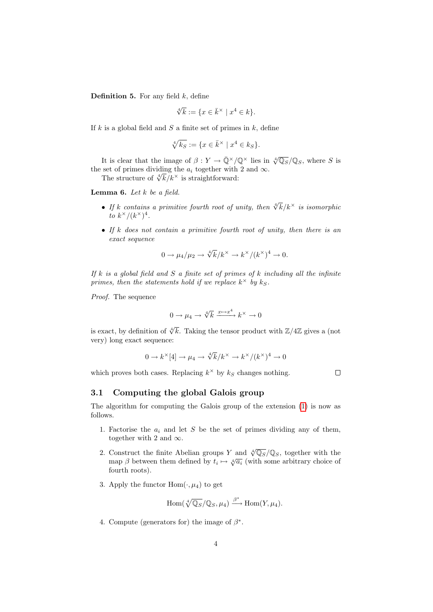**Definition 5.** For any field  $k$ , define

$$
\sqrt[4]{k} := \{ x \in \bar{k}^\times \mid x^4 \in k \}.
$$

If  $k$  is a global field and  $S$  a finite set of primes in  $k$ , define

$$
\sqrt[4]{k_S} := \{ x \in \bar{k}^\times \mid x^4 \in k_S \}.
$$

It is clear that the image of  $\beta: Y \to \bar{Q}^{\times}/\mathbb{Q}^{\times}$  lies in  $\sqrt[4]{\mathbb{Q}_S/\mathbb{Q}_S}$ , where S is the set of primes dividing the  $a_i$  together with 2 and  $\infty$ .

set of primes dividing the  $a_i$  together with<br>The structure of  $\sqrt[k]{k}/k^{\times}$  is straightforward:

<span id="page-3-0"></span>**Lemma 6.** Let  $k$  be a field.

- If k contains a primitive fourth root of unity, then  $\sqrt[4]{k}/k^{\times}$  is isomorphic to  $k^{\times}/(k^{\times})^4$ .
- If  $k$  does not contain a primitive fourth root of unity, then there is an exact sequence

$$
0 \to \mu_4/\mu_2 \to \sqrt[4]{k}/k^\times \to k^\times/(k^\times)^4 \to 0.
$$

If k is a global field and S a finite set of primes of k including all the infinite primes, then the statements hold if we replace  $k^{\times}$  by  $k_S$ .

Proof. The sequence

$$
0 \to \mu_4 \to \sqrt[4]{k} \xrightarrow{x \mapsto x^4} k^{\times} \to 0
$$

is exact, by definition of  $\sqrt[4]{k}$ . Taking the tensor product with  $\mathbb{Z}/4\mathbb{Z}$  gives a (not very) long exact sequence:

$$
0 \to k^{\times}[4] \to \mu_4 \to \sqrt[4]{k}/k^{\times} \to k^{\times}/(k^{\times})^4 \to 0
$$

which proves both cases. Replacing  $k^{\times}$  by  $k_S$  changes nothing.

 $\Box$ 

#### 3.1 Computing the global Galois group

The algorithm for computing the Galois group of the extension [\(1\)](#page-0-0) is now as follows.

- 1. Factorise the  $a_i$  and let S be the set of primes dividing any of them, together with 2 and  $\infty$ .
- 2. Construct the finite Abelian groups Y and  $\sqrt[4]{\mathbb{Q}_S/\mathbb{Q}_S}$ , together with the Construct the link Abendin groups  $T$  and  $\sqrt{\mathcal{L}_S/\mathcal{L}_S}$ , together with the map  $\beta$  between them defined by  $t_i \mapsto \sqrt[4]{a_i}$  (with some arbitrary choice of fourth roots).
- 3. Apply the functor  $Hom(\cdot, \mu_4)$  to get

$$
\mathrm{Hom}(\sqrt[4]{\mathbb{Q}_S}/\mathbb{Q}_S,\mu_4)\xrightarrow{\beta^*}\mathrm{Hom}(Y,\mu_4).
$$

4. Compute (generators for) the image of  $\beta^*$ .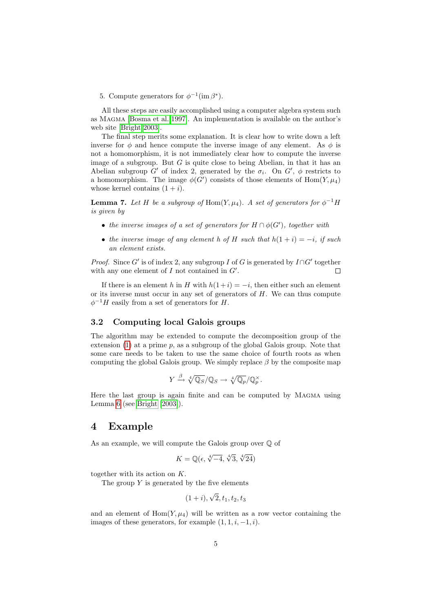5. Compute generators for  $\phi^{-1}(\text{im }\beta^*)$ .

All these steps are easily accomplished using a computer algebra system such as Magma [\[Bosma et al. 1997\]](#page-5-1). An implementation is available on the author's web site [\[Bright 2003\]](#page-5-2).

The final step merits some explanation. It is clear how to write down a left inverse for  $\phi$  and hence compute the inverse image of any element. As  $\phi$  is not a homomorphism, it is not immediately clear how to compute the inverse image of a subgroup. But  $G$  is quite close to being Abelian, in that it has an Abelian subgroup G' of index 2, generated by the  $\sigma_i$ . On G',  $\phi$  restricts to a homomorphism. The image  $\phi(G')$  consists of those elements of  $\text{Hom}(Y, \mu_4)$ whose kernel contains  $(1 + i)$ .

<span id="page-4-0"></span>**Lemma 7.** Let H be a subgroup of Hom $(Y, \mu_4)$ . A set of generators for  $\phi^{-1}$  H is given by

- the inverse images of a set of generators for  $H \cap \phi(G')$ , together with
- the inverse image of any element h of H such that  $h(1 + i) = -i$ , if such an element exists.

*Proof.* Since G' is of index 2, any subgroup I of G is generated by  $I \cap G'$  together with any one element of  $I$  not contained in  $G'$ . Г

If there is an element h in H with  $h(1+i) = -i$ , then either such an element or its inverse must occur in any set of generators of  $H$ . We can thus compute  $\phi^{-1}H$  easily from a set of generators for H.

#### 3.2 Computing local Galois groups

The algorithm may be extended to compute the decomposition group of the extension  $(1)$  at a prime p, as a subgroup of the global Galois group. Note that some care needs to be taken to use the same choice of fourth roots as when computing the global Galois group. We simply replace  $\beta$  by the composite map

$$
Y \xrightarrow{\beta} \sqrt[4]{\mathbb{Q}_S}/\mathbb{Q}_S \to \sqrt[4]{\mathbb{Q}_p}/\mathbb{Q}_p^{\times}.
$$

Here the last group is again finite and can be computed by Magma using Lemma [6](#page-3-0) (see [Bright](#page-5-2) [\[2003\]](#page-5-2)).

## 4 Example

As an example, we will compute the Galois group over Q of

$$
K=\mathbb{Q}(\epsilon, \sqrt[4]{-4}, \sqrt[4]{3}, \sqrt[4]{24})
$$

together with its action on K.

The group  $Y$  is generated by the five elements

$$
(1+i), \sqrt{2}, t_1, t_2, t_3
$$

and an element of  $Hom(Y, \mu_4)$  will be written as a row vector containing the images of these generators, for example  $(1, 1, i, -1, i)$ .